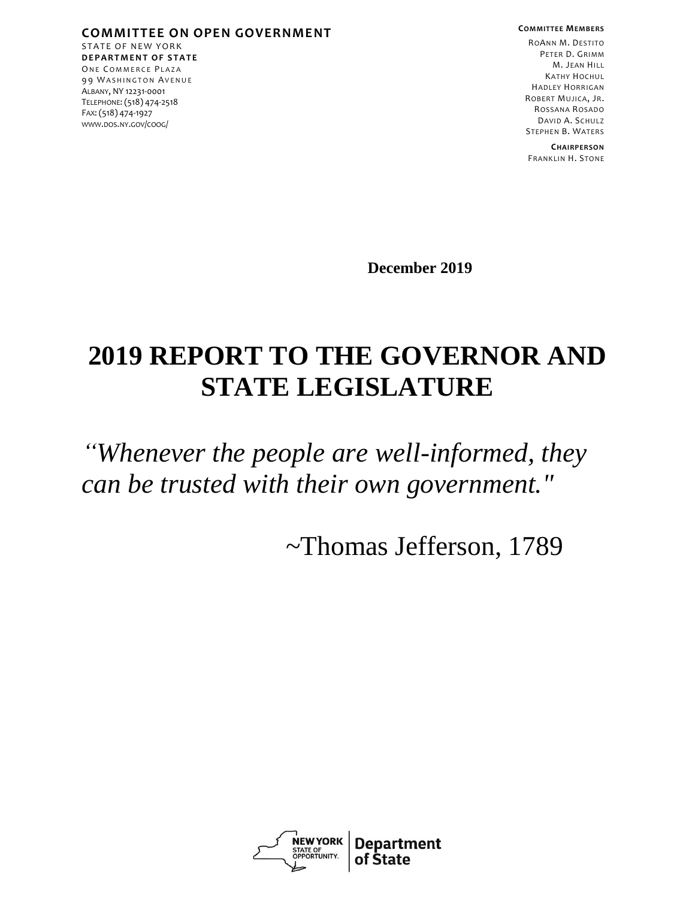**COMMITTEE ON OPEN GOVERNMENT** STATE OF NEW YORK **D E P A R T M E N T O F S T A T E** ONE COMMERCE PLAZA 99 WASHINGTON AVENUE ALBANY, NY 12231-0001 TELEPHONE: (518) 474-2518 FAX: (518) 474-1927 [WWW](http://www.dos.ny./).DOS.NY.GOV/COOG/

**COMMITTEE MEMBERS**

ROANN M. DESTITO PETER D. GRIMM M. JEAN HILL KATHY HOCHUL HADLEY HORRIGAN ROBERT MUJICA, JR. ROSSANA ROSADO DAVID A. SCHULZ STEPHEN B. WATERS

**CHAIRPERSON** FRANKLIN H. STONE

**December 2019**

# **2019 REPORT TO THE GOVERNOR AND STATE LEGISLATURE**

*"Whenever the people are well-informed, they can be trusted with their own government."*

~Thomas Jefferson, 1789

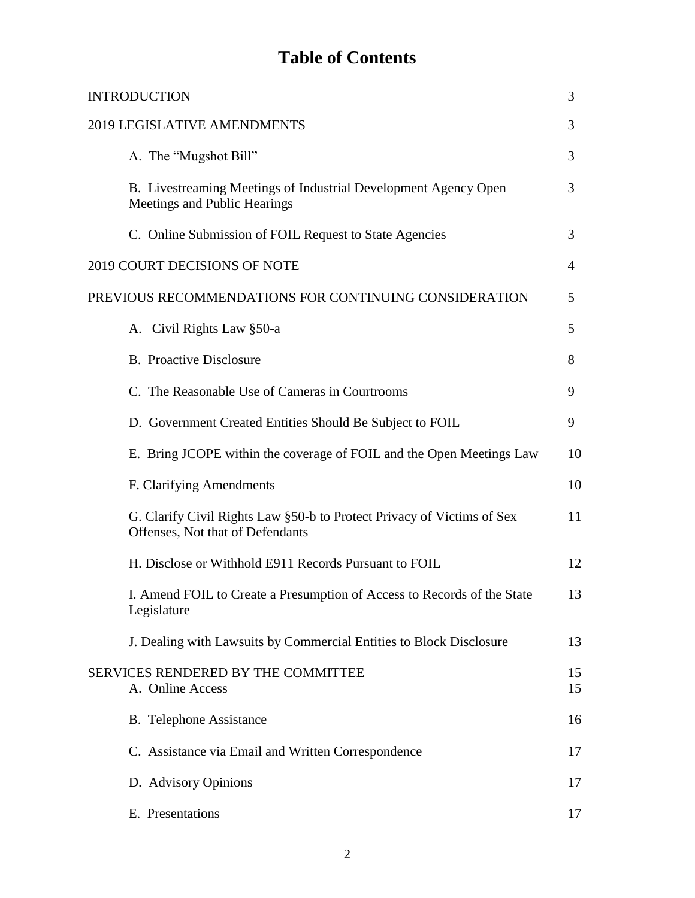## **Table of Contents**

| <b>INTRODUCTION</b>                                                                                        | 3        |
|------------------------------------------------------------------------------------------------------------|----------|
| 2019 LEGISLATIVE AMENDMENTS                                                                                | 3        |
| A. The "Mugshot Bill"                                                                                      | 3        |
| B. Livestreaming Meetings of Industrial Development Agency Open<br>Meetings and Public Hearings            | 3        |
| C. Online Submission of FOIL Request to State Agencies                                                     | 3        |
| 2019 COURT DECISIONS OF NOTE                                                                               | 4        |
| PREVIOUS RECOMMENDATIONS FOR CONTINUING CONSIDERATION                                                      | 5        |
| A. Civil Rights Law §50-a                                                                                  | 5        |
| <b>B.</b> Proactive Disclosure                                                                             | 8        |
| C. The Reasonable Use of Cameras in Courtrooms                                                             | 9        |
| D. Government Created Entities Should Be Subject to FOIL                                                   | 9        |
| E. Bring JCOPE within the coverage of FOIL and the Open Meetings Law                                       | 10       |
| F. Clarifying Amendments                                                                                   | 10       |
| G. Clarify Civil Rights Law §50-b to Protect Privacy of Victims of Sex<br>Offenses, Not that of Defendants | 11       |
| H. Disclose or Withhold E911 Records Pursuant to FOIL                                                      | 12       |
| I. Amend FOIL to Create a Presumption of Access to Records of the State<br>Legislature                     | 13       |
| J. Dealing with Lawsuits by Commercial Entities to Block Disclosure                                        | 13       |
| SERVICES RENDERED BY THE COMMITTEE<br>A. Online Access                                                     | 15<br>15 |
| <b>B.</b> Telephone Assistance                                                                             | 16       |
| C. Assistance via Email and Written Correspondence                                                         | 17       |
| D. Advisory Opinions                                                                                       | 17       |
| E. Presentations                                                                                           | 17       |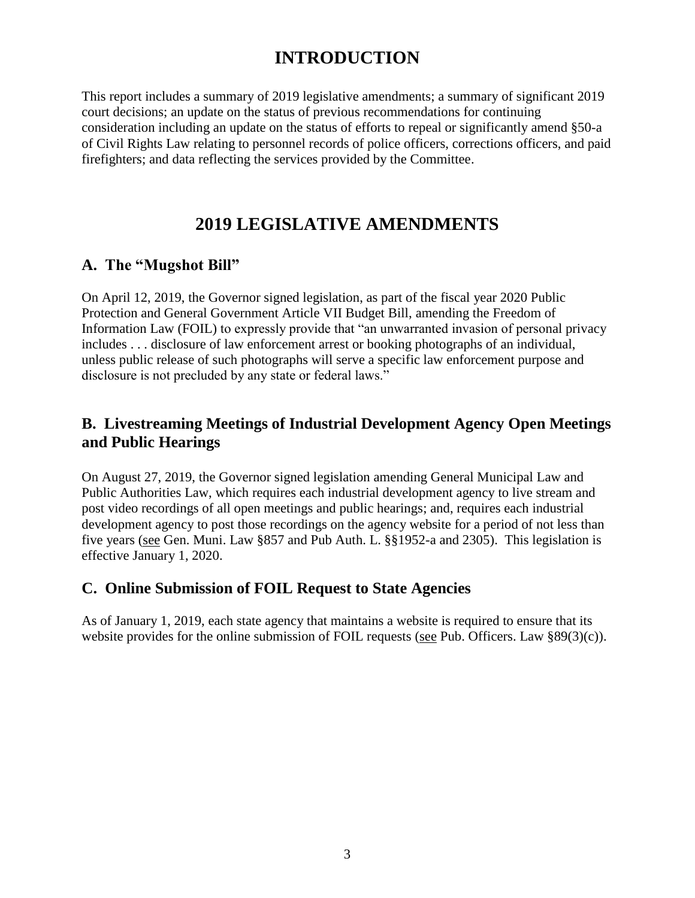## **INTRODUCTION**

This report includes a summary of 2019 legislative amendments; a summary of significant 2019 court decisions; an update on the status of previous recommendations for continuing consideration including an update on the status of efforts to repeal or significantly amend §50-a of Civil Rights Law relating to personnel records of police officers, corrections officers, and paid firefighters; and data reflecting the services provided by the Committee.

## **2019 LEGISLATIVE AMENDMENTS**

#### **A. The "Mugshot Bill"**

On April 12, 2019, the Governor signed legislation, as part of the fiscal year 2020 Public Protection and General Government Article VII Budget Bill, amending the Freedom of Information Law (FOIL) to expressly provide that "an unwarranted invasion of personal privacy includes . . . disclosure of law enforcement arrest or booking photographs of an individual, unless public release of such photographs will serve a specific law enforcement purpose and disclosure is not precluded by any state or federal laws."

### **B. Livestreaming Meetings of Industrial Development Agency Open Meetings and Public Hearings**

On August 27, 2019, the Governor signed legislation amending General Municipal Law and Public Authorities Law, which requires each industrial development agency to live stream and post video recordings of all open meetings and public hearings; and, requires each industrial development agency to post those recordings on the agency website for a period of not less than five years (see Gen. Muni. Law §857 and Pub Auth. L. §§1952-a and 2305). This legislation is effective January 1, 2020.

#### **C. Online Submission of FOIL Request to State Agencies**

As of January 1, 2019, each state agency that maintains a website is required to ensure that its website provides for the online submission of FOIL requests (see Pub. Officers. Law §89(3)(c)).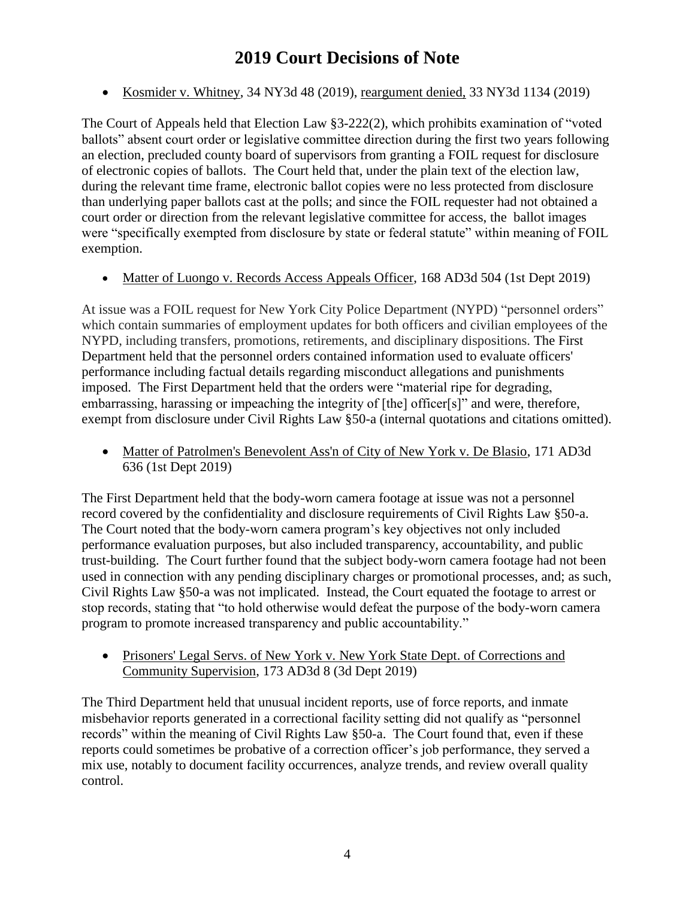## **2019 Court Decisions of Note**

• Kosmider v. Whitney, 34 NY3d 48 (2019), reargument denied, 33 NY3d 1134 (2019)

The Court of Appeals held that Election Law §3-222(2), which prohibits examination of "voted ballots" absent court order or legislative committee direction during the first two years following an election, precluded county board of supervisors from granting a FOIL request for disclosure of electronic copies of ballots. The Court held that, under the plain text of the election law, during the relevant time frame, electronic ballot copies were no less protected from disclosure than underlying paper ballots cast at the polls; and since the FOIL requester had not obtained a court order or direction from the relevant legislative committee for access, the ballot images were "specifically exempted from disclosure by state or federal statute" within meaning of FOIL exemption.

• Matter of Luongo v. Records Access Appeals Officer, 168 AD3d 504 (1st Dept 2019)

At issue was a FOIL request for New York City Police Department (NYPD) "personnel orders" which contain summaries of employment updates for both officers and civilian employees of the NYPD, including transfers, promotions, retirements, and disciplinary dispositions. The First Department held that the personnel orders contained information used to evaluate officers' performance including factual details regarding misconduct allegations and punishments imposed. The First Department held that the orders were "material ripe for degrading, embarrassing, harassing or impeaching the integrity of [the] officer[s]" and were, therefore, exempt from disclosure under Civil Rights Law §50-a (internal quotations and citations omitted).

• Matter of Patrolmen's Benevolent Ass'n of City of New York v. De Blasio, 171 AD3d 636 (1st Dept 2019)

The First Department held that the body-worn camera footage at issue was not a personnel record covered by the confidentiality and disclosure requirements of Civil Rights Law §50-a. The Court noted that the body-worn camera program's key objectives not only included performance evaluation purposes, but also included transparency, accountability, and public trust-building. The Court further found that the subject body-worn camera footage had not been used in connection with any pending disciplinary charges or promotional processes, and; as such, Civil Rights Law §50-a was not implicated. Instead, the Court equated the footage to arrest or stop records, stating that "to hold otherwise would defeat the purpose of the body-worn camera program to promote increased transparency and public accountability."

• Prisoners' Legal Servs. of New York v. New York State Dept. of Corrections and Community Supervision, 173 AD3d 8 (3d Dept 2019)

The Third Department held that unusual incident reports, use of force reports, and inmate misbehavior reports generated in a correctional facility setting did not qualify as "personnel records" within the meaning of Civil Rights Law §50-a. The Court found that, even if these reports could sometimes be probative of a correction officer's job performance, they served a mix use, notably to document facility occurrences, analyze trends, and review overall quality control.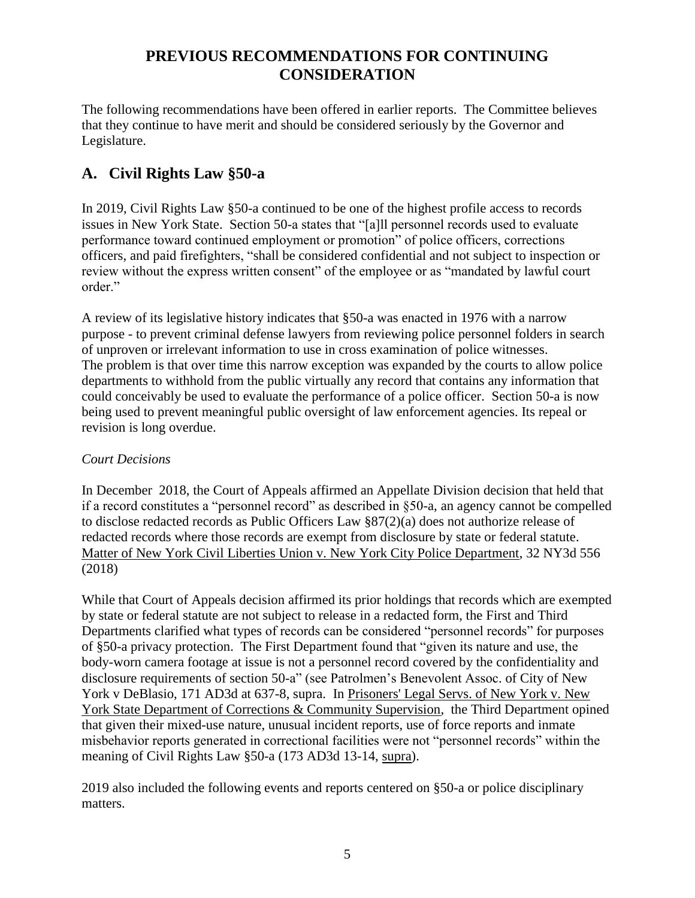## **PREVIOUS RECOMMENDATIONS FOR CONTINUING CONSIDERATION**

The following recommendations have been offered in earlier reports. The Committee believes that they continue to have merit and should be considered seriously by the Governor and Legislature.

## **A. Civil Rights Law §50-a**

In 2019, Civil Rights Law §50-a continued to be one of the highest profile access to records issues in New York State. Section 50-a states that "[a]ll personnel records used to evaluate performance toward continued employment or promotion" of police officers, corrections officers, and paid firefighters, "shall be considered confidential and not subject to inspection or review without the express written consent" of the employee or as "mandated by lawful court order."

A review of its legislative history indicates that §50-a was enacted in 1976 with a narrow purpose - to prevent criminal defense lawyers from reviewing police personnel folders in search of unproven or irrelevant information to use in cross examination of police witnesses. The problem is that over time this narrow exception was expanded by the courts to allow police departments to withhold from the public virtually any record that contains any information that could conceivably be used to evaluate the performance of a police officer. Section 50-a is now being used to prevent meaningful public oversight of law enforcement agencies. Its repeal or revision is long overdue.

#### *Court Decisions*

In December 2018, the Court of Appeals affirmed an Appellate Division decision that held that if a record constitutes a "personnel record" as described in §50-a, an agency cannot be compelled to disclose redacted records as Public Officers Law §87(2)(a) does not authorize release of redacted records where those records are exempt from disclosure by state or federal statute. Matter of New York Civil Liberties Union v. New York City Police Department, 32 NY3d 556 (2018)

While that Court of Appeals decision affirmed its prior holdings that records which are exempted by state or federal statute are not subject to release in a redacted form, the First and Third Departments clarified what types of records can be considered "personnel records" for purposes of §50-a privacy protection. The First Department found that "given its nature and use, the body-worn camera footage at issue is not a personnel record covered by the confidentiality and disclosure requirements of section 50-a" (see Patrolmen's Benevolent Assoc. of City of New York v DeBlasio, 171 AD3d at 637-8, supra. In Prisoners' Legal Servs. of New York v. New York State Department of Corrections & Community Supervision, the Third Department opined that given their mixed-use nature, unusual incident reports, use of force reports and inmate misbehavior reports generated in correctional facilities were not "personnel records" within the meaning of Civil Rights Law §50-a (173 AD3d 13-14, supra).

2019 also included the following events and reports centered on §50-a or police disciplinary matters.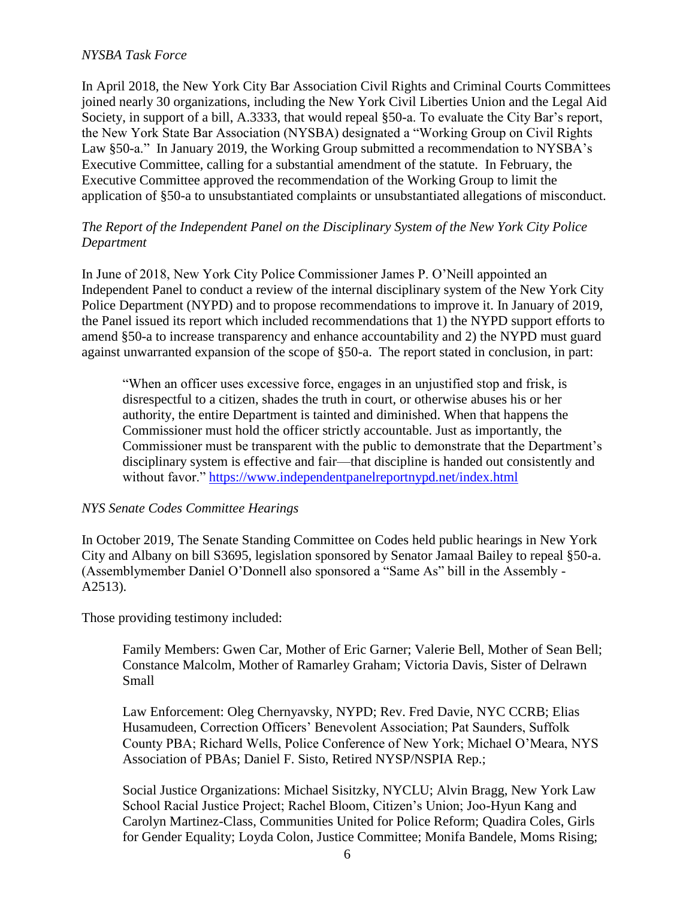#### *NYSBA Task Force*

In April 2018, the New York City Bar Association Civil Rights and Criminal Courts Committees joined nearly 30 organizations, including the New York Civil Liberties Union and the Legal Aid Society, in support of a bill, A.3333, that would repeal §50-a. To evaluate the City Bar's report, the New York State Bar Association (NYSBA) designated a "Working Group on Civil Rights Law §50-a." In January 2019, the Working Group submitted a recommendation to NYSBA's Executive Committee, calling for a substantial amendment of the statute. In February, the Executive Committee approved the recommendation of the Working Group to limit the application of §50-a to unsubstantiated complaints or unsubstantiated allegations of misconduct.

#### *The Report of the Independent Panel on the Disciplinary System of the New York City Police Department*

In June of 2018, New York City Police Commissioner James P. O'Neill appointed an Independent Panel to conduct a review of the internal disciplinary system of the New York City Police Department (NYPD) and to propose recommendations to improve it. In January of 2019, the Panel issued its report which included recommendations that 1) the NYPD support efforts to amend §50-a to increase transparency and enhance accountability and 2) the NYPD must guard against unwarranted expansion of the scope of §50-a. The report stated in conclusion, in part:

"When an officer uses excessive force, engages in an unjustified stop and frisk, is disrespectful to a citizen, shades the truth in court, or otherwise abuses his or her authority, the entire Department is tainted and diminished. When that happens the Commissioner must hold the officer strictly accountable. Just as importantly, the Commissioner must be transparent with the public to demonstrate that the Department's disciplinary system is effective and fair—that discipline is handed out consistently and without favor."<https://www.independentpanelreportnypd.net/index.html>

#### *NYS Senate Codes Committee Hearings*

In October 2019, The Senate Standing Committee on Codes held public hearings in New York City and Albany on bill S3695, legislation sponsored by Senator Jamaal Bailey to repeal §50-a. (Assemblymember Daniel O'Donnell also sponsored a "Same As" bill in the Assembly - A2513).

Those providing testimony included:

Family Members: Gwen Car, Mother of Eric Garner; Valerie Bell, Mother of Sean Bell; Constance Malcolm, Mother of Ramarley Graham; Victoria Davis, Sister of Delrawn Small

Law Enforcement: Oleg Chernyavsky, NYPD; Rev. Fred Davie, NYC CCRB; Elias Husamudeen, Correction Officers' Benevolent Association; Pat Saunders, Suffolk County PBA; Richard Wells, Police Conference of New York; Michael O'Meara, NYS Association of PBAs; Daniel F. Sisto, Retired NYSP/NSPIA Rep.;

Social Justice Organizations: Michael Sisitzky, NYCLU; Alvin Bragg, New York Law School Racial Justice Project; Rachel Bloom, Citizen's Union; Joo-Hyun Kang and Carolyn Martinez-Class, Communities United for Police Reform; Quadira Coles, Girls for Gender Equality; Loyda Colon, Justice Committee; Monifa Bandele, Moms Rising;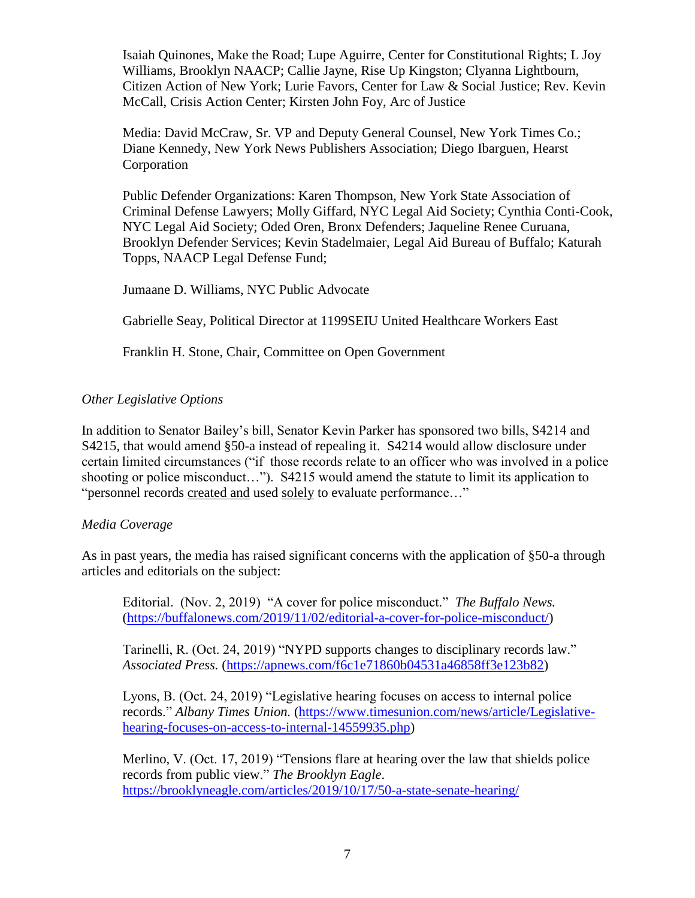Isaiah Quinones, Make the Road; Lupe Aguirre, Center for Constitutional Rights; L Joy Williams, Brooklyn NAACP; Callie Jayne, Rise Up Kingston; Clyanna Lightbourn, Citizen Action of New York; Lurie Favors, Center for Law & Social Justice; Rev. Kevin McCall, Crisis Action Center; Kirsten John Foy, Arc of Justice

Media: David McCraw, Sr. VP and Deputy General Counsel, New York Times Co.; Diane Kennedy, New York News Publishers Association; Diego Ibarguen, Hearst Corporation

Public Defender Organizations: Karen Thompson, New York State Association of Criminal Defense Lawyers; Molly Giffard, NYC Legal Aid Society; Cynthia Conti-Cook, NYC Legal Aid Society; Oded Oren, Bronx Defenders; Jaqueline Renee Curuana, Brooklyn Defender Services; Kevin Stadelmaier, Legal Aid Bureau of Buffalo; Katurah Topps, NAACP Legal Defense Fund;

Jumaane D. Williams, NYC Public Advocate

Gabrielle Seay, Political Director at 1199SEIU United Healthcare Workers East

Franklin H. Stone, Chair, Committee on Open Government

#### *Other Legislative Options*

In addition to Senator Bailey's bill, Senator Kevin Parker has sponsored two bills, S4214 and S4215, that would amend §50-a instead of repealing it. S4214 would allow disclosure under certain limited circumstances ("if those records relate to an officer who was involved in a police shooting or police misconduct…"). S4215 would amend the statute to limit its application to "personnel records created and used solely to evaluate performance…"

#### *Media Coverage*

As in past years, the media has raised significant concerns with the application of §50-a through articles and editorials on the subject:

Editorial. (Nov. 2, 2019) "A cover for police misconduct." *The Buffalo News.* [\(https://buffalonews.com/2019/11/02/editorial-a-cover-for-police-misconduct/\)](https://buffalonews.com/2019/11/02/editorial-a-cover-for-police-misconduct/)

Tarinelli, R. (Oct. 24, 2019) "NYPD supports changes to disciplinary records law." *Associated Press.* [\(https://apnews.com/f6c1e71860b04531a46858ff3e123b82\)](https://apnews.com/f6c1e71860b04531a46858ff3e123b82)

Lyons, B. (Oct. 24, 2019) "Legislative hearing focuses on access to internal police records." *Albany Times Union.* [\(https://www.timesunion.com/news/article/Legislative](https://www.timesunion.com/news/article/Legislative-hearing-focuses-on-access-to-internal-14559935.php)[hearing-focuses-on-access-to-internal-14559935.php\)](https://www.timesunion.com/news/article/Legislative-hearing-focuses-on-access-to-internal-14559935.php)

Merlino, V. (Oct. 17, 2019) "Tensions flare at hearing over the law that shields police records from public view." *The Brooklyn Eagle*. <https://brooklyneagle.com/articles/2019/10/17/50-a-state-senate-hearing/>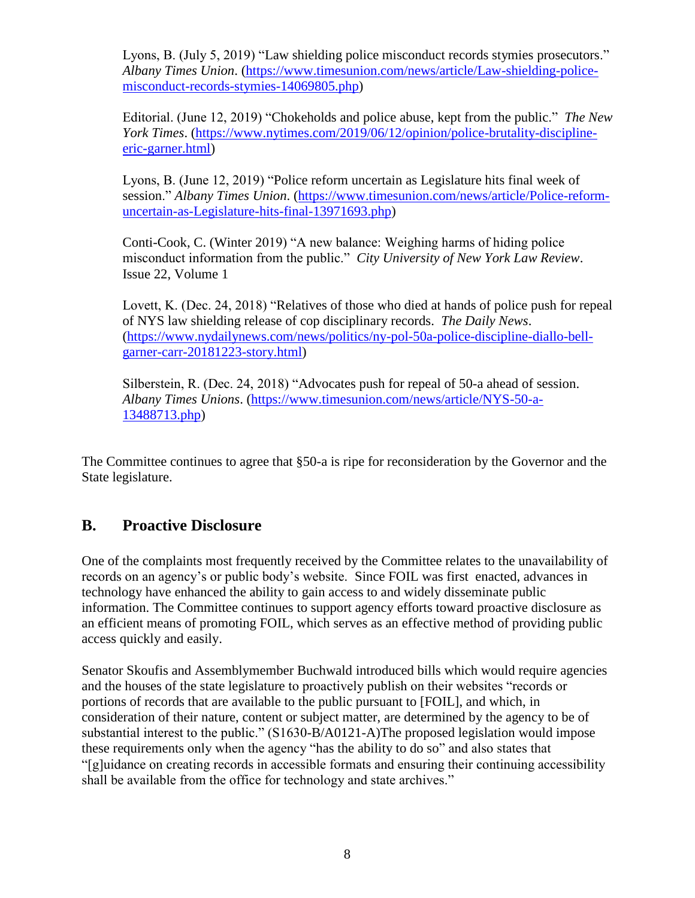Lyons, B. (July 5, 2019) "Law shielding police misconduct records stymies prosecutors." *Albany Times Union*. [\(https://www.timesunion.com/news/article/Law-shielding-police](https://www.timesunion.com/news/article/Law-shielding-police-misconduct-records-stymies-14069805.php)[misconduct-records-stymies-14069805.php\)](https://www.timesunion.com/news/article/Law-shielding-police-misconduct-records-stymies-14069805.php)

Editorial. (June 12, 2019) "Chokeholds and police abuse, kept from the public." *The New York Times*. [\(https://www.nytimes.com/2019/06/12/opinion/police-brutality-discipline](https://www.nytimes.com/2019/06/12/opinion/police-brutality-discipline-eric-garner.html)[eric-garner.html\)](https://www.nytimes.com/2019/06/12/opinion/police-brutality-discipline-eric-garner.html)

Lyons, B. (June 12, 2019) "Police reform uncertain as Legislature hits final week of session." *Albany Times Union*. [\(https://www.timesunion.com/news/article/Police-reform](https://www.timesunion.com/news/article/Police-reform-uncertain-as-Legislature-hits-final-13971693.php)[uncertain-as-Legislature-hits-final-13971693.php\)](https://www.timesunion.com/news/article/Police-reform-uncertain-as-Legislature-hits-final-13971693.php)

Conti-Cook, C. (Winter 2019) "A new balance: Weighing harms of hiding police misconduct information from the public." *City University of New York Law Review*. Issue 22, Volume 1

Lovett, K. (Dec. 24, 2018) "Relatives of those who died at hands of police push for repeal of NYS law shielding release of cop disciplinary records. *The Daily News*. [\(https://www.nydailynews.com/news/politics/ny-pol-50a-police-discipline-diallo-bell](https://www.nydailynews.com/news/politics/ny-pol-50a-police-discipline-diallo-bell-garner-carr-20181223-story.html)[garner-carr-20181223-story.html\)](https://www.nydailynews.com/news/politics/ny-pol-50a-police-discipline-diallo-bell-garner-carr-20181223-story.html)

Silberstein, R. (Dec. 24, 2018) "Advocates push for repeal of 50-a ahead of session. *Albany Times Unions*. [\(https://www.timesunion.com/news/article/NYS-50-a-](https://www.timesunion.com/news/article/NYS-50-a-13488713.php)[13488713.php\)](https://www.timesunion.com/news/article/NYS-50-a-13488713.php)

The Committee continues to agree that §50-a is ripe for reconsideration by the Governor and the State legislature.

#### **B. Proactive Disclosure**

One of the complaints most frequently received by the Committee relates to the unavailability of records on an agency's or public body's website. Since FOIL was first enacted, advances in technology have enhanced the ability to gain access to and widely disseminate public information. The Committee continues to support agency efforts toward proactive disclosure as an efficient means of promoting FOIL, which serves as an effective method of providing public access quickly and easily.

Senator Skoufis and Assemblymember Buchwald introduced bills which would require agencies and the houses of the state legislature to proactively publish on their websites "records or portions of records that are available to the public pursuant to [FOIL], and which, in consideration of their nature, content or subject matter, are determined by the agency to be of substantial interest to the public." (S1630-B/A0121-A)The proposed legislation would impose these requirements only when the agency "has the ability to do so" and also states that "[g]uidance on creating records in accessible formats and ensuring their continuing accessibility shall be available from the office for technology and state archives."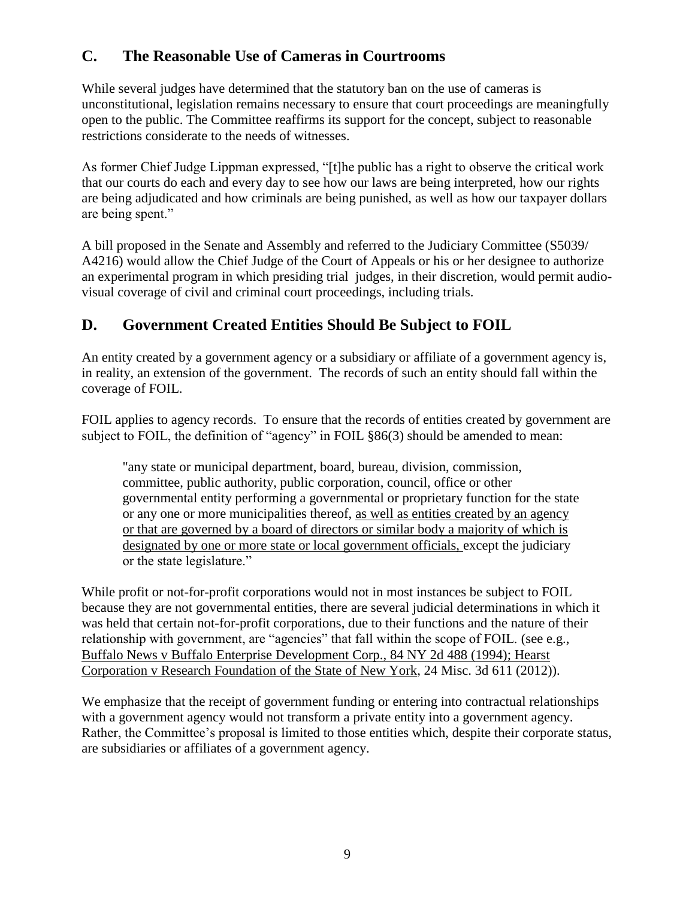## **C. The Reasonable Use of Cameras in Courtrooms**

While several judges have determined that the statutory ban on the use of cameras is unconstitutional, legislation remains necessary to ensure that court proceedings are meaningfully open to the public. The Committee reaffirms its support for the concept, subject to reasonable restrictions considerate to the needs of witnesses.

As former Chief Judge Lippman expressed, "[t]he public has a right to observe the critical work that our courts do each and every day to see how our laws are being interpreted, how our rights are being adjudicated and how criminals are being punished, as well as how our taxpayer dollars are being spent."

A bill proposed in the Senate and Assembly and referred to the Judiciary Committee (S5039/ A4216) would allow the Chief Judge of the Court of Appeals or his or her designee to authorize an experimental program in which presiding trial judges, in their discretion, would permit audiovisual coverage of civil and criminal court proceedings, including trials.

## **D. Government Created Entities Should Be Subject to FOIL**

An entity created by a government agency or a subsidiary or affiliate of a government agency is, in reality, an extension of the government. The records of such an entity should fall within the coverage of FOIL.

FOIL applies to agency records. To ensure that the records of entities created by government are subject to FOIL, the definition of "agency" in FOIL §86(3) should be amended to mean:

"any state or municipal department, board, bureau, division, commission, committee, public authority, public corporation, council, office or other governmental entity performing a governmental or proprietary function for the state or any one or more municipalities thereof, as well as entities created by an agency or that are governed by a board of directors or similar body a majority of which is designated by one or more state or local government officials, except the judiciary or the state legislature."

While profit or not-for-profit corporations would not in most instances be subject to FOIL because they are not governmental entities, there are several judicial determinations in which it was held that certain not-for-profit corporations, due to their functions and the nature of their relationship with government, are "agencies" that fall within the scope of FOIL. (see e.g., Buffalo News v Buffalo Enterprise Development Corp., 84 NY 2d 488 (1994); Hearst Corporation v Research Foundation of the State of New York, 24 Misc. 3d 611 (2012)).

We emphasize that the receipt of government funding or entering into contractual relationships with a government agency would not transform a private entity into a government agency. Rather, the Committee's proposal is limited to those entities which, despite their corporate status, are subsidiaries or affiliates of a government agency.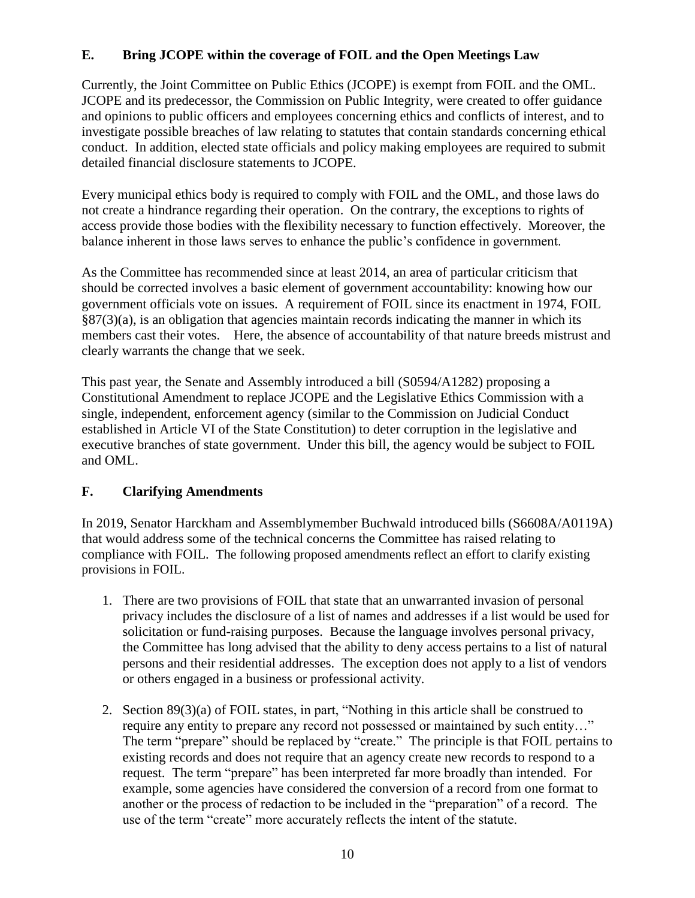#### **E. Bring JCOPE within the coverage of FOIL and the Open Meetings Law**

Currently, the Joint Committee on Public Ethics (JCOPE) is exempt from FOIL and the OML. JCOPE and its predecessor, the Commission on Public Integrity, were created to offer guidance and opinions to public officers and employees concerning ethics and conflicts of interest, and to investigate possible breaches of law relating to statutes that contain standards concerning ethical conduct. In addition, elected state officials and policy making employees are required to submit detailed financial disclosure statements to JCOPE.

Every municipal ethics body is required to comply with FOIL and the OML, and those laws do not create a hindrance regarding their operation. On the contrary, the exceptions to rights of access provide those bodies with the flexibility necessary to function effectively. Moreover, the balance inherent in those laws serves to enhance the public's confidence in government.

As the Committee has recommended since at least 2014, an area of particular criticism that should be corrected involves a basic element of government accountability: knowing how our government officials vote on issues. A requirement of FOIL since its enactment in 1974, FOIL  $\S 87(3)(a)$ , is an obligation that agencies maintain records indicating the manner in which its members cast their votes. Here, the absence of accountability of that nature breeds mistrust and clearly warrants the change that we seek.

This past year, the Senate and Assembly introduced a bill (S0594/A1282) proposing a Constitutional Amendment to replace JCOPE and the Legislative Ethics Commission with a single, independent, enforcement agency (similar to the Commission on Judicial Conduct established in Article VI of the State Constitution) to deter corruption in the legislative and executive branches of state government. Under this bill, the agency would be subject to FOIL and OML.

#### **F. Clarifying Amendments**

In 2019, Senator Harckham and Assemblymember Buchwald introduced bills (S6608A/A0119A) that would address some of the technical concerns the Committee has raised relating to compliance with FOIL. The following proposed amendments reflect an effort to clarify existing provisions in FOIL.

- 1. There are two provisions of FOIL that state that an unwarranted invasion of personal privacy includes the disclosure of a list of names and addresses if a list would be used for solicitation or fund-raising purposes. Because the language involves personal privacy, the Committee has long advised that the ability to deny access pertains to a list of natural persons and their residential addresses. The exception does not apply to a list of vendors or others engaged in a business or professional activity.
- 2. Section 89(3)(a) of FOIL states, in part, "Nothing in this article shall be construed to require any entity to prepare any record not possessed or maintained by such entity…" The term "prepare" should be replaced by "create." The principle is that FOIL pertains to existing records and does not require that an agency create new records to respond to a request. The term "prepare" has been interpreted far more broadly than intended. For example, some agencies have considered the conversion of a record from one format to another or the process of redaction to be included in the "preparation" of a record. The use of the term "create" more accurately reflects the intent of the statute.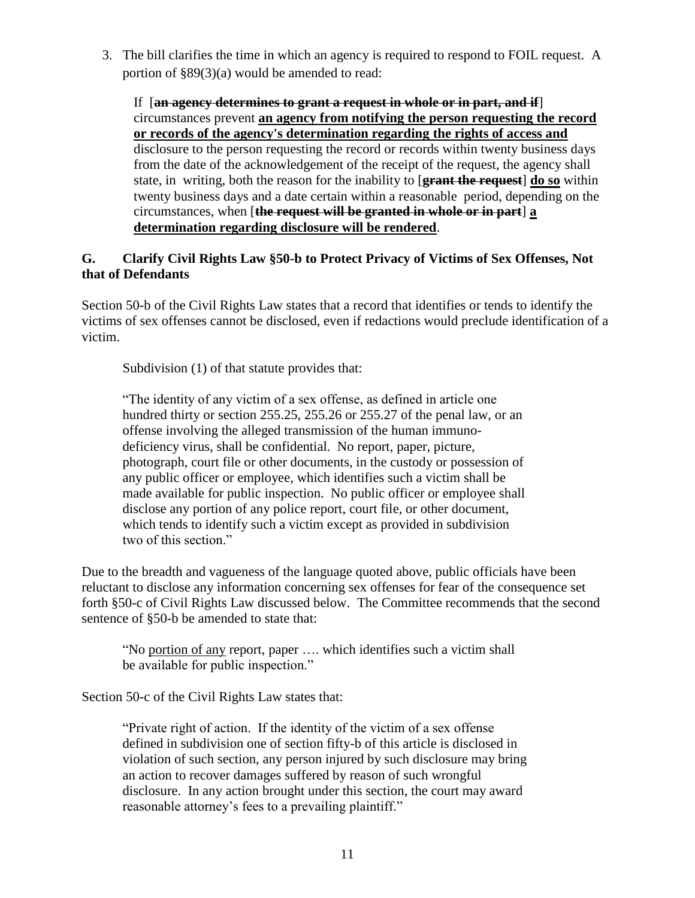3. The bill clarifies the time in which an agency is required to respond to FOIL request. A portion of §89(3)(a) would be amended to read:

If [**an agency determines to grant a request in whole or in part, and if**] circumstances prevent **an agency from notifying the person requesting the record or records of the agency's determination regarding the rights of access and** disclosure to the person requesting the record or records within twenty business days from the date of the acknowledgement of the receipt of the request, the agency shall state, in writing, both the reason for the inability to [**grant the request**] **do so** within twenty business days and a date certain within a reasonable period, depending on the circumstances, when [**the request will be granted in whole or in part**] **a determination regarding disclosure will be rendered**.

#### **G. Clarify Civil Rights Law §50-b to Protect Privacy of Victims of Sex Offenses, Not that of Defendants**

Section 50-b of the Civil Rights Law states that a record that identifies or tends to identify the victims of sex offenses cannot be disclosed, even if redactions would preclude identification of a victim.

Subdivision (1) of that statute provides that:

"The identity of any victim of a sex offense, as defined in article one hundred thirty or section 255.25, 255.26 or 255.27 of the penal law, or an offense involving the alleged transmission of the human immunodeficiency virus, shall be confidential. No report, paper, picture, photograph, court file or other documents, in the custody or possession of any public officer or employee, which identifies such a victim shall be made available for public inspection. No public officer or employee shall disclose any portion of any police report, court file, or other document, which tends to identify such a victim except as provided in subdivision two of this section."

Due to the breadth and vagueness of the language quoted above, public officials have been reluctant to disclose any information concerning sex offenses for fear of the consequence set forth §50-c of Civil Rights Law discussed below. The Committee recommends that the second sentence of §50-b be amended to state that:

"No portion of any report, paper …. which identifies such a victim shall be available for public inspection."

Section 50-c of the Civil Rights Law states that:

"Private right of action. If the identity of the victim of a sex offense defined in subdivision one of section fifty-b of this article is disclosed in violation of such section, any person injured by such disclosure may bring an action to recover damages suffered by reason of such wrongful disclosure. In any action brought under this section, the court may award reasonable attorney's fees to a prevailing plaintiff."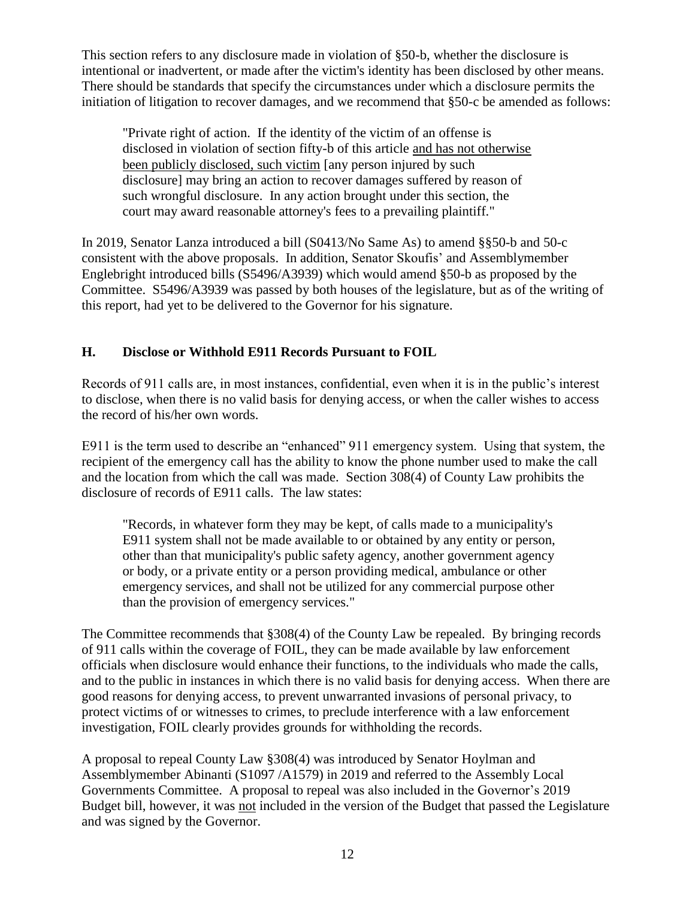This section refers to any disclosure made in violation of §50-b, whether the disclosure is intentional or inadvertent, or made after the victim's identity has been disclosed by other means. There should be standards that specify the circumstances under which a disclosure permits the initiation of litigation to recover damages, and we recommend that §50-c be amended as follows:

"Private right of action. If the identity of the victim of an offense is disclosed in violation of section fifty-b of this article and has not otherwise been publicly disclosed, such victim [any person injured by such disclosure] may bring an action to recover damages suffered by reason of such wrongful disclosure. In any action brought under this section, the court may award reasonable attorney's fees to a prevailing plaintiff."

In 2019, Senator Lanza introduced a bill (S0413/No Same As) to amend §§50-b and 50-c consistent with the above proposals. In addition, Senator Skoufis' and Assemblymember Englebright introduced bills (S5496/A3939) which would amend §50-b as proposed by the Committee. S5496/A3939 was passed by both houses of the legislature, but as of the writing of this report, had yet to be delivered to the Governor for his signature.

#### **H. Disclose or Withhold E911 Records Pursuant to FOIL**

Records of 911 calls are, in most instances, confidential, even when it is in the public's interest to disclose, when there is no valid basis for denying access, or when the caller wishes to access the record of his/her own words.

E911 is the term used to describe an "enhanced" 911 emergency system. Using that system, the recipient of the emergency call has the ability to know the phone number used to make the call and the location from which the call was made. Section 308(4) of County Law prohibits the disclosure of records of E911 calls. The law states:

"Records, in whatever form they may be kept, of calls made to a municipality's E911 system shall not be made available to or obtained by any entity or person, other than that municipality's public safety agency, another government agency or body, or a private entity or a person providing medical, ambulance or other emergency services, and shall not be utilized for any commercial purpose other than the provision of emergency services."

The Committee recommends that §308(4) of the County Law be repealed. By bringing records of 911 calls within the coverage of FOIL, they can be made available by law enforcement officials when disclosure would enhance their functions, to the individuals who made the calls, and to the public in instances in which there is no valid basis for denying access. When there are good reasons for denying access, to prevent unwarranted invasions of personal privacy, to protect victims of or witnesses to crimes, to preclude interference with a law enforcement investigation, FOIL clearly provides grounds for withholding the records.

A proposal to repeal County Law §308(4) was introduced by Senator Hoylman and Assemblymember Abinanti (S1097 /A1579) in 2019 and referred to the Assembly Local Governments Committee. A proposal to repeal was also included in the Governor's 2019 Budget bill, however, it was not included in the version of the Budget that passed the Legislature and was signed by the Governor.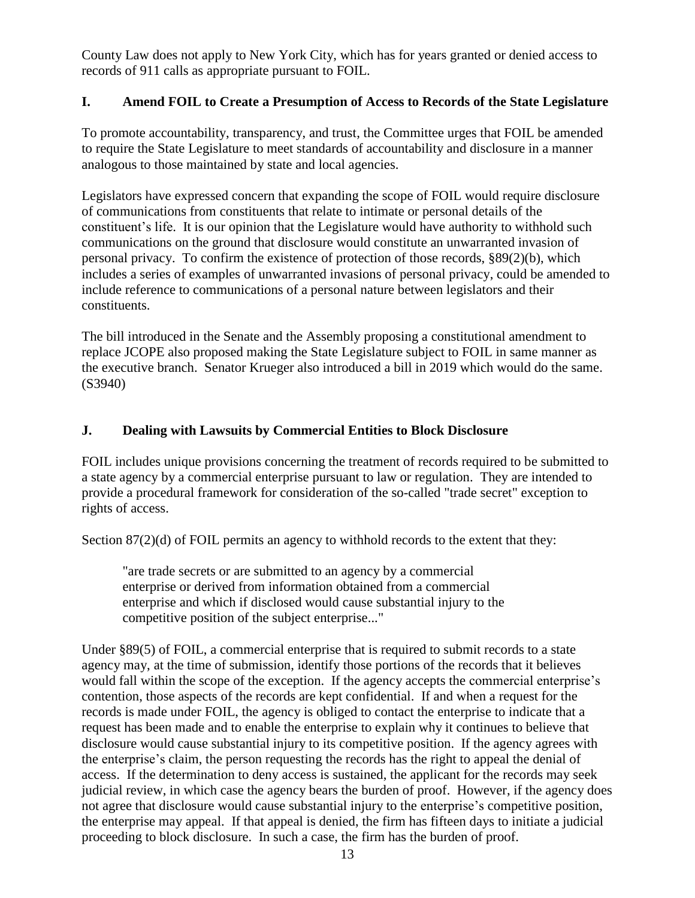County Law does not apply to New York City, which has for years granted or denied access to records of 911 calls as appropriate pursuant to FOIL.

#### **I. Amend FOIL to Create a Presumption of Access to Records of the State Legislature**

To promote accountability, transparency, and trust, the Committee urges that FOIL be amended to require the State Legislature to meet standards of accountability and disclosure in a manner analogous to those maintained by state and local agencies.

Legislators have expressed concern that expanding the scope of FOIL would require disclosure of communications from constituents that relate to intimate or personal details of the constituent's life. It is our opinion that the Legislature would have authority to withhold such communications on the ground that disclosure would constitute an unwarranted invasion of personal privacy. To confirm the existence of protection of those records, §89(2)(b), which includes a series of examples of unwarranted invasions of personal privacy, could be amended to include reference to communications of a personal nature between legislators and their constituents.

The bill introduced in the Senate and the Assembly proposing a constitutional amendment to replace JCOPE also proposed making the State Legislature subject to FOIL in same manner as the executive branch. Senator Krueger also introduced a bill in 2019 which would do the same. (S3940)

#### **J. Dealing with Lawsuits by Commercial Entities to Block Disclosure**

FOIL includes unique provisions concerning the treatment of records required to be submitted to a state agency by a commercial enterprise pursuant to law or regulation. They are intended to provide a procedural framework for consideration of the so-called "trade secret" exception to rights of access.

Section  $87(2)(d)$  of FOIL permits an agency to withhold records to the extent that they:

"are trade secrets or are submitted to an agency by a commercial enterprise or derived from information obtained from a commercial enterprise and which if disclosed would cause substantial injury to the competitive position of the subject enterprise..."

Under §89(5) of FOIL, a commercial enterprise that is required to submit records to a state agency may, at the time of submission, identify those portions of the records that it believes would fall within the scope of the exception. If the agency accepts the commercial enterprise's contention, those aspects of the records are kept confidential. If and when a request for the records is made under FOIL, the agency is obliged to contact the enterprise to indicate that a request has been made and to enable the enterprise to explain why it continues to believe that disclosure would cause substantial injury to its competitive position. If the agency agrees with the enterprise's claim, the person requesting the records has the right to appeal the denial of access. If the determination to deny access is sustained, the applicant for the records may seek judicial review, in which case the agency bears the burden of proof. However, if the agency does not agree that disclosure would cause substantial injury to the enterprise's competitive position, the enterprise may appeal. If that appeal is denied, the firm has fifteen days to initiate a judicial proceeding to block disclosure. In such a case, the firm has the burden of proof.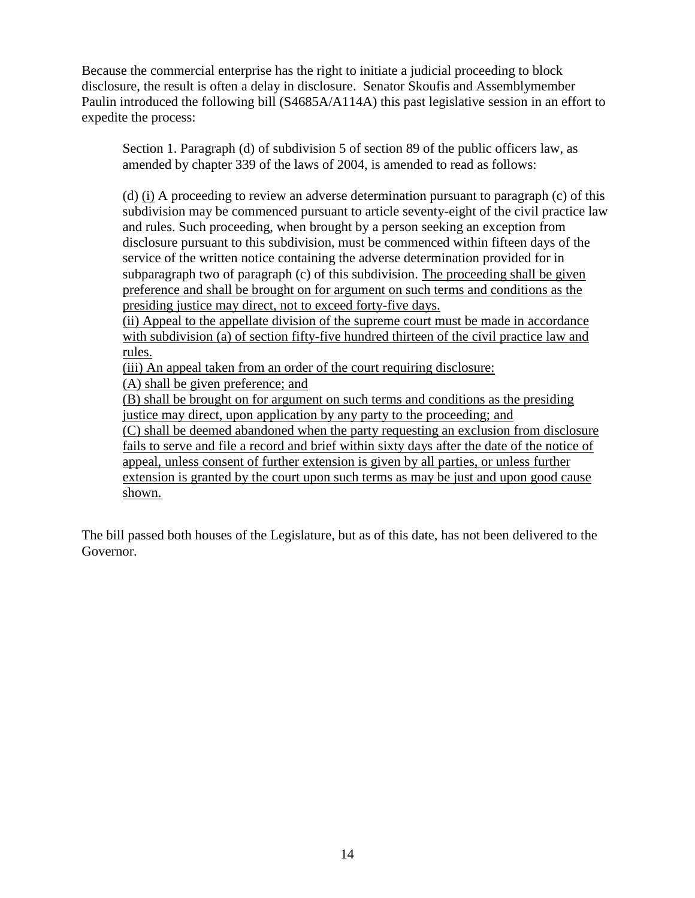Because the commercial enterprise has the right to initiate a judicial proceeding to block disclosure, the result is often a delay in disclosure. Senator Skoufis and Assemblymember Paulin introduced the following bill (S4685A/A114A) this past legislative session in an effort to expedite the process:

Section 1. Paragraph (d) of subdivision 5 of section 89 of the public officers law, as amended by chapter 339 of the laws of 2004, is amended to read as follows:

(d) (i) A proceeding to review an adverse determination pursuant to paragraph (c) of this subdivision may be commenced pursuant to article seventy-eight of the civil practice law and rules. Such proceeding, when brought by a person seeking an exception from disclosure pursuant to this subdivision, must be commenced within fifteen days of the service of the written notice containing the adverse determination provided for in subparagraph two of paragraph (c) of this subdivision. The proceeding shall be given preference and shall be brought on for argument on such terms and conditions as the presiding justice may direct, not to exceed forty-five days.

(ii) Appeal to the appellate division of the supreme court must be made in accordance with subdivision (a) of section fifty-five hundred thirteen of the civil practice law and rules.

(iii) An appeal taken from an order of the court requiring disclosure:

(A) shall be given preference; and

(B) shall be brought on for argument on such terms and conditions as the presiding justice may direct, upon application by any party to the proceeding; and

(C) shall be deemed abandoned when the party requesting an exclusion from disclosure fails to serve and file a record and brief within sixty days after the date of the notice of appeal, unless consent of further extension is given by all parties, or unless further extension is granted by the court upon such terms as may be just and upon good cause shown.

The bill passed both houses of the Legislature, but as of this date, has not been delivered to the Governor.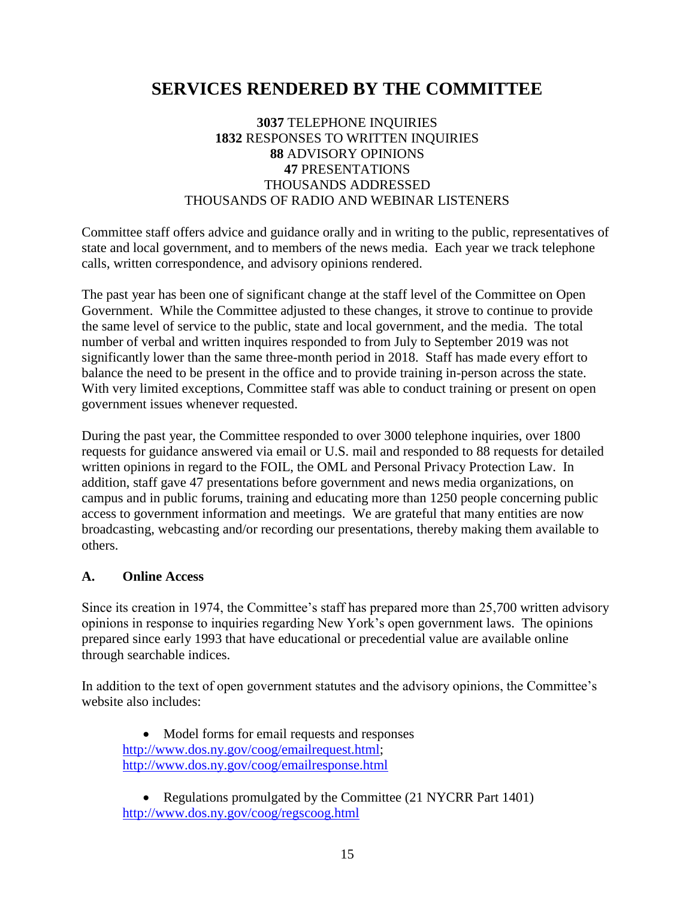## **SERVICES RENDERED BY THE COMMITTEE**

#### **3037** TELEPHONE INQUIRIES **1832** RESPONSES TO WRITTEN INQUIRIES **88** ADVISORY OPINIONS **47** PRESENTATIONS THOUSANDS ADDRESSED THOUSANDS OF RADIO AND WEBINAR LISTENERS

Committee staff offers advice and guidance orally and in writing to the public, representatives of state and local government, and to members of the news media. Each year we track telephone calls, written correspondence, and advisory opinions rendered.

The past year has been one of significant change at the staff level of the Committee on Open Government. While the Committee adjusted to these changes, it strove to continue to provide the same level of service to the public, state and local government, and the media. The total number of verbal and written inquires responded to from July to September 2019 was not significantly lower than the same three-month period in 2018. Staff has made every effort to balance the need to be present in the office and to provide training in-person across the state. With very limited exceptions, Committee staff was able to conduct training or present on open government issues whenever requested.

During the past year, the Committee responded to over 3000 telephone inquiries, over 1800 requests for guidance answered via email or U.S. mail and responded to 88 requests for detailed written opinions in regard to the FOIL, the OML and Personal Privacy Protection Law. In addition, staff gave 47 presentations before government and news media organizations, on campus and in public forums, training and educating more than 1250 people concerning public access to government information and meetings. We are grateful that many entities are now broadcasting, webcasting and/or recording our presentations, thereby making them available to others.

#### **A. Online Access**

Since its creation in 1974, the Committee's staff has prepared more than 25,700 written advisory opinions in response to inquiries regarding New York's open government laws. The opinions prepared since early 1993 that have educational or precedential value are available online through searchable indices.

In addition to the text of open government statutes and the advisory opinions, the Committee's website also includes:

• Model forms for email requests and responses [http://www.dos.ny.gov/coog/emailrequest.html;](http://www.dos.ny.gov/coog/emailrequest.html) <http://www.dos.ny.gov/coog/emailresponse.html>

• Regulations promulgated by the Committee (21 NYCRR Part 1401) <http://www.dos.ny.gov/coog/regscoog.html>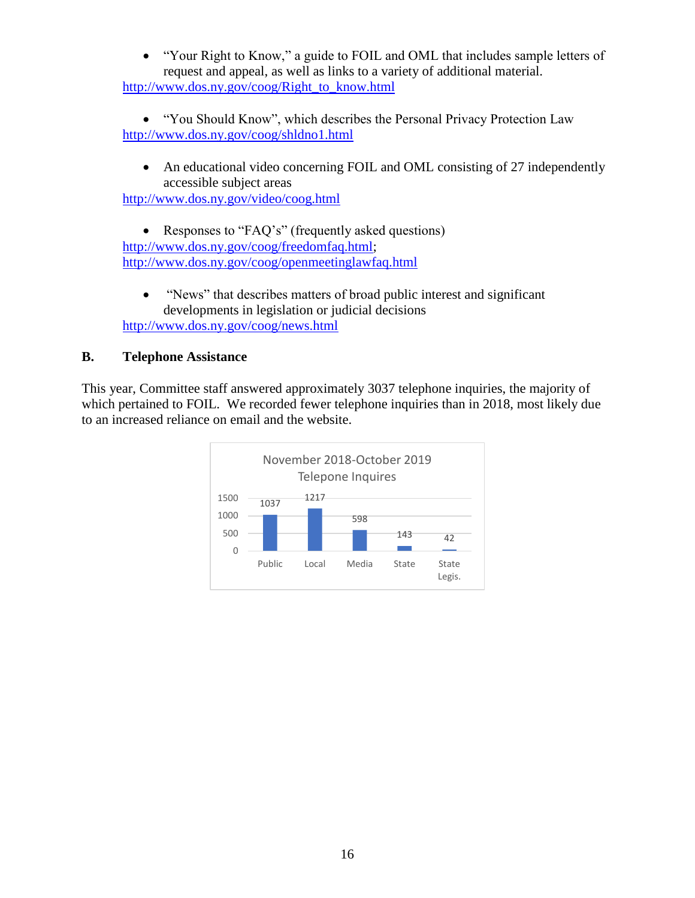• "Your Right to Know," a guide to FOIL and OML that includes sample letters of request and appeal, as well as links to a variety of additional material. [http://www.dos.ny.gov/coog/Right\\_to\\_know.html](http://www.dos.ny.gov/coog/Right_to_know.html)

• "You Should Know", which describes the Personal Privacy Protection Law <http://www.dos.ny.gov/coog/shldno1.html>

• An educational video concerning FOIL and OML consisting of 27 independently accessible subject areas

<http://www.dos.ny.gov/video/coog.html>

• Responses to "FAQ's" (frequently asked questions) [http://www.dos.ny.gov/coog/freedomfaq.html;](http://www.dos.ny.gov/coog/freedomfaq.html) <http://www.dos.ny.gov/coog/openmeetinglawfaq.html>

• "News" that describes matters of broad public interest and significant developments in legislation or judicial decisions <http://www.dos.ny.gov/coog/news.html>

#### **B. Telephone Assistance**

This year, Committee staff answered approximately 3037 telephone inquiries, the majority of which pertained to FOIL. We recorded fewer telephone inquiries than in 2018, most likely due to an increased reliance on email and the website.

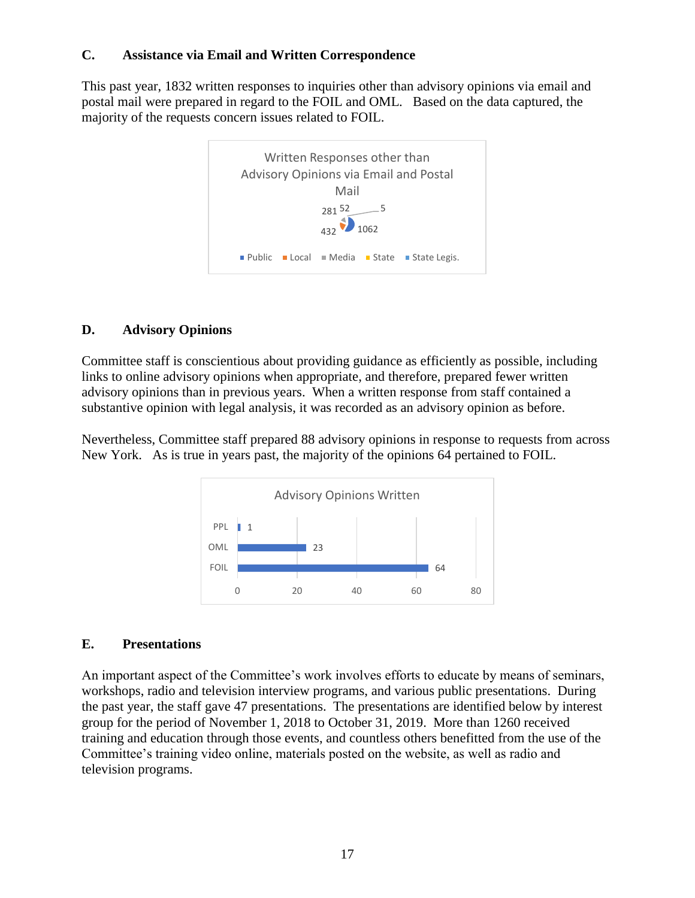#### **C. Assistance via Email and Written Correspondence**

This past year, 1832 written responses to inquiries other than advisory opinions via email and postal mail were prepared in regard to the FOIL and OML. Based on the data captured, the majority of the requests concern issues related to FOIL.



#### **D. Advisory Opinions**

Committee staff is conscientious about providing guidance as efficiently as possible, including links to online advisory opinions when appropriate, and therefore, prepared fewer written advisory opinions than in previous years. When a written response from staff contained a substantive opinion with legal analysis, it was recorded as an advisory opinion as before.

Nevertheless, Committee staff prepared 88 advisory opinions in response to requests from across New York. As is true in years past, the majority of the opinions 64 pertained to FOIL.



#### **E. Presentations**

An important aspect of the Committee's work involves efforts to educate by means of seminars, workshops, radio and television interview programs, and various public presentations. During the past year, the staff gave 47 presentations. The presentations are identified below by interest group for the period of November 1, 2018 to October 31, 2019. More than 1260 received training and education through those events, and countless others benefitted from the use of the Committee's training video online, materials posted on the website, as well as radio and television programs.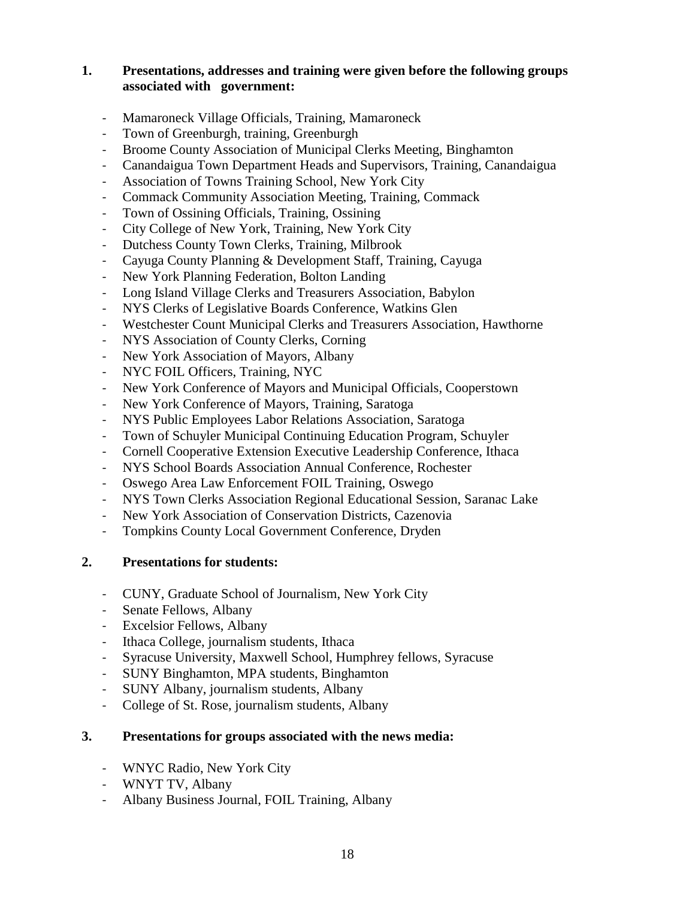#### **1. Presentations, addresses and training were given before the following groups associated with government:**

- Mamaroneck Village Officials, Training, Mamaroneck
- Town of Greenburgh, training, Greenburgh
- Broome County Association of Municipal Clerks Meeting, Binghamton
- Canandaigua Town Department Heads and Supervisors, Training, Canandaigua
- Association of Towns Training School, New York City
- Commack Community Association Meeting, Training, Commack
- Town of Ossining Officials, Training, Ossining
- City College of New York, Training, New York City
- Dutchess County Town Clerks, Training, Milbrook
- Cayuga County Planning & Development Staff, Training, Cayuga
- New York Planning Federation, Bolton Landing
- Long Island Village Clerks and Treasurers Association, Babylon
- NYS Clerks of Legislative Boards Conference, Watkins Glen
- Westchester Count Municipal Clerks and Treasurers Association, Hawthorne
- NYS Association of County Clerks, Corning
- New York Association of Mayors, Albany
- NYC FOIL Officers, Training, NYC
- New York Conference of Mayors and Municipal Officials, Cooperstown
- New York Conference of Mayors, Training, Saratoga
- NYS Public Employees Labor Relations Association, Saratoga
- Town of Schuyler Municipal Continuing Education Program, Schuyler
- Cornell Cooperative Extension Executive Leadership Conference, Ithaca
- NYS School Boards Association Annual Conference, Rochester
- Oswego Area Law Enforcement FOIL Training, Oswego
- NYS Town Clerks Association Regional Educational Session, Saranac Lake
- New York Association of Conservation Districts, Cazenovia
- Tompkins County Local Government Conference, Dryden

#### **2. Presentations for students:**

- CUNY, Graduate School of Journalism, New York City
- Senate Fellows, Albany
- Excelsior Fellows, Albany
- Ithaca College, journalism students, Ithaca
- Syracuse University, Maxwell School, Humphrey fellows, Syracuse
- SUNY Binghamton, MPA students, Binghamton
- SUNY Albany, journalism students, Albany
- College of St. Rose, journalism students, Albany

#### **3. Presentations for groups associated with the news media:**

- WNYC Radio, New York City
- WNYT TV, Albany
- Albany Business Journal, FOIL Training, Albany